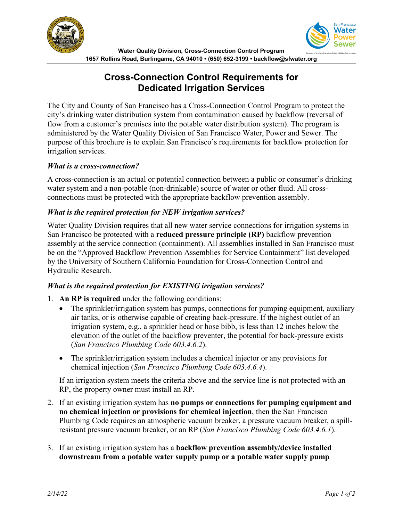



# **Cross-Connection Control Requirements for Dedicated Irrigation Services**

The City and County of San Francisco has a Cross-Connection Control Program to protect the city's drinking water distribution system from contamination caused by backflow (reversal of flow from a customer's premises into the potable water distribution system). The program is administered by the Water Quality Division of San Francisco Water, Power and Sewer. The purpose of this brochure is to explain San Francisco's requirements for backflow protection for irrigation services.

#### *What is a cross-connection?*

A cross-connection is an actual or potential connection between a public or consumer's drinking water system and a non-potable (non-drinkable) source of water or other fluid. All crossconnections must be protected with the appropriate backflow prevention assembly.

#### *What is the required protection for NEW irrigation services?*

Water Quality Division requires that all new water service connections for irrigation systems in San Francisco be protected with a **reduced pressure principle (RP)** backflow prevention assembly at the service connection (containment). All assemblies installed in San Francisco must be on the "Approved Backflow Prevention Assemblies for Service Containment" list developed by the University of Southern California Foundation for Cross-Connection Control and Hydraulic Research.

#### *What is the required protection for EXISTING irrigation services?*

- 1. **An RP is required** under the following conditions:
	- The sprinkler/irrigation system has pumps, connections for pumping equipment, auxiliary air tanks, or is otherwise capable of creating back-pressure. If the highest outlet of an irrigation system, e.g., a sprinkler head or hose bibb, is less than 12 inches below the elevation of the outlet of the backflow preventer, the potential for back-pressure exists (*San Francisco Plumbing Code 603.4.6.2*).
	- The sprinkler/irrigation system includes a chemical injector or any provisions for chemical injection (*San Francisco Plumbing Code 603.4.6.4*).

If an irrigation system meets the criteria above and the service line is not protected with an RP, the property owner must install an RP.

- 2. If an existing irrigation system has **no pumps or connections for pumping equipment and no chemical injection or provisions for chemical injection**, then the San Francisco Plumbing Code requires an atmospheric vacuum breaker, a pressure vacuum breaker, a spillresistant pressure vacuum breaker, or an RP (*San Francisco Plumbing Code 603.4.6.1*).
- 3. If an existing irrigation system has a **backflow prevention assembly/device installed downstream from a potable water supply pump or a potable water supply pump**